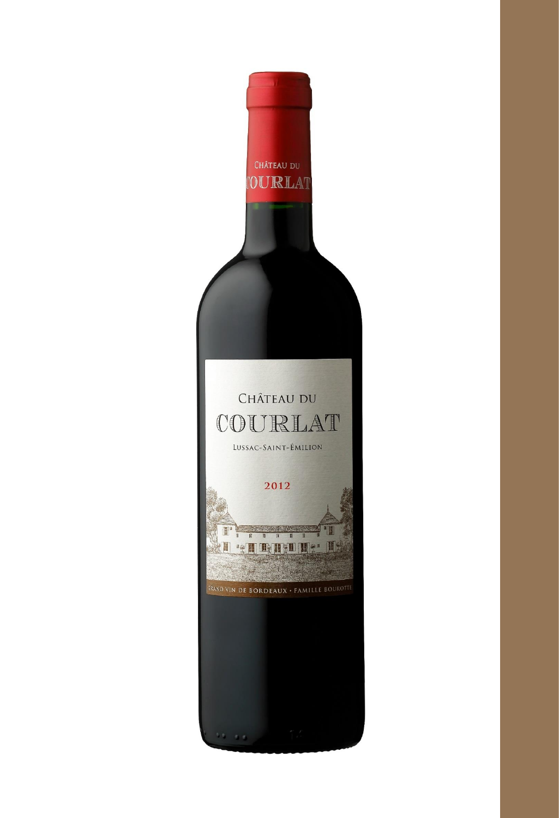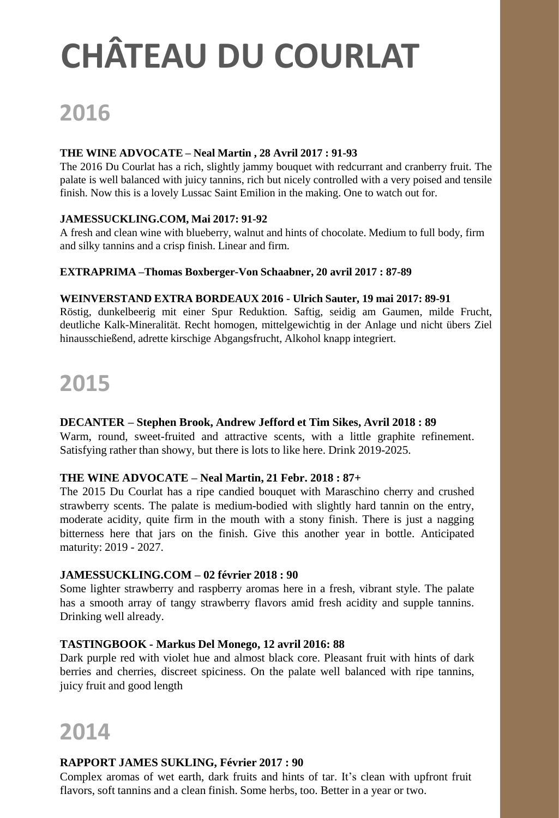## **CHÂTEAU DU COURLAT**

## **2016**

#### **THE WINE ADVOCATE – Neal Martin , 28 Avril 2017 : 91-93**

The 2016 Du Courlat has a rich, slightly jammy bouquet with redcurrant and cranberry fruit. The palate is well balanced with juicy tannins, rich but nicely controlled with a very poised and tensile finish. Now this is a lovely Lussac Saint Emilion in the making. One to watch out for.

#### **JAMESSUCKLING.COM, Mai 2017: 91-92**

A fresh and clean wine with blueberry, walnut and hints of chocolate. Medium to full body, firm and silky tannins and a crisp finish. Linear and firm.

#### **EXTRAPRIMA –Thomas Boxberger-Von Schaabner, 20 avril 2017 : 87-89**

#### **WEINVERSTAND EXTRA BORDEAUX 2016 - Ulrich Sauter, 19 mai 2017: 89-91**

Röstig, dunkelbeerig mit einer Spur Reduktion. Saftig, seidig am Gaumen, milde Frucht, deutliche Kalk-Mineralität. Recht homogen, mittelgewichtig in der Anlage und nicht übers Ziel hinausschießend, adrette kirschige Abgangsfrucht, Alkohol knapp integriert.

## **2015**

#### **DECANTER – Stephen Brook, Andrew Jefford et Tim Sikes, Avril 2018 : 89**

Warm, round, sweet-fruited and attractive scents, with a little graphite refinement. Satisfying rather than showy, but there is lots to like here. Drink 2019-2025.

#### **THE WINE ADVOCATE – Neal Martin, 21 Febr. 2018 : 87+**

The 2015 Du Courlat has a ripe candied bouquet with Maraschino cherry and crushed strawberry scents. The palate is medium-bodied with slightly hard tannin on the entry, moderate acidity, quite firm in the mouth with a stony finish. There is just a nagging bitterness here that jars on the finish. Give this another year in bottle. Anticipated maturity: 2019 - 2027.

### **JAMESSUCKLING.COM – 02 février 2018 : 90**

Some lighter strawberry and raspberry aromas here in a fresh, vibrant style. The palate has a smooth array of tangy strawberry flavors amid fresh acidity and supple tannins. Drinking well already.

#### **TASTINGBOOK - Markus Del Monego, 12 avril 2016: 88**

Dark purple red with violet hue and almost black core. Pleasant fruit with hints of dark berries and cherries, discreet spiciness. On the palate well balanced with ripe tannins, juicy fruit and good length

### **2014**

#### **RAPPORT JAMES SUKLING, Février 2017 : 90**

Complex aromas of wet earth, dark fruits and hints of tar. It's clean with upfront fruit flavors, soft tannins and a clean finish. Some herbs, too. Better in a year or two.